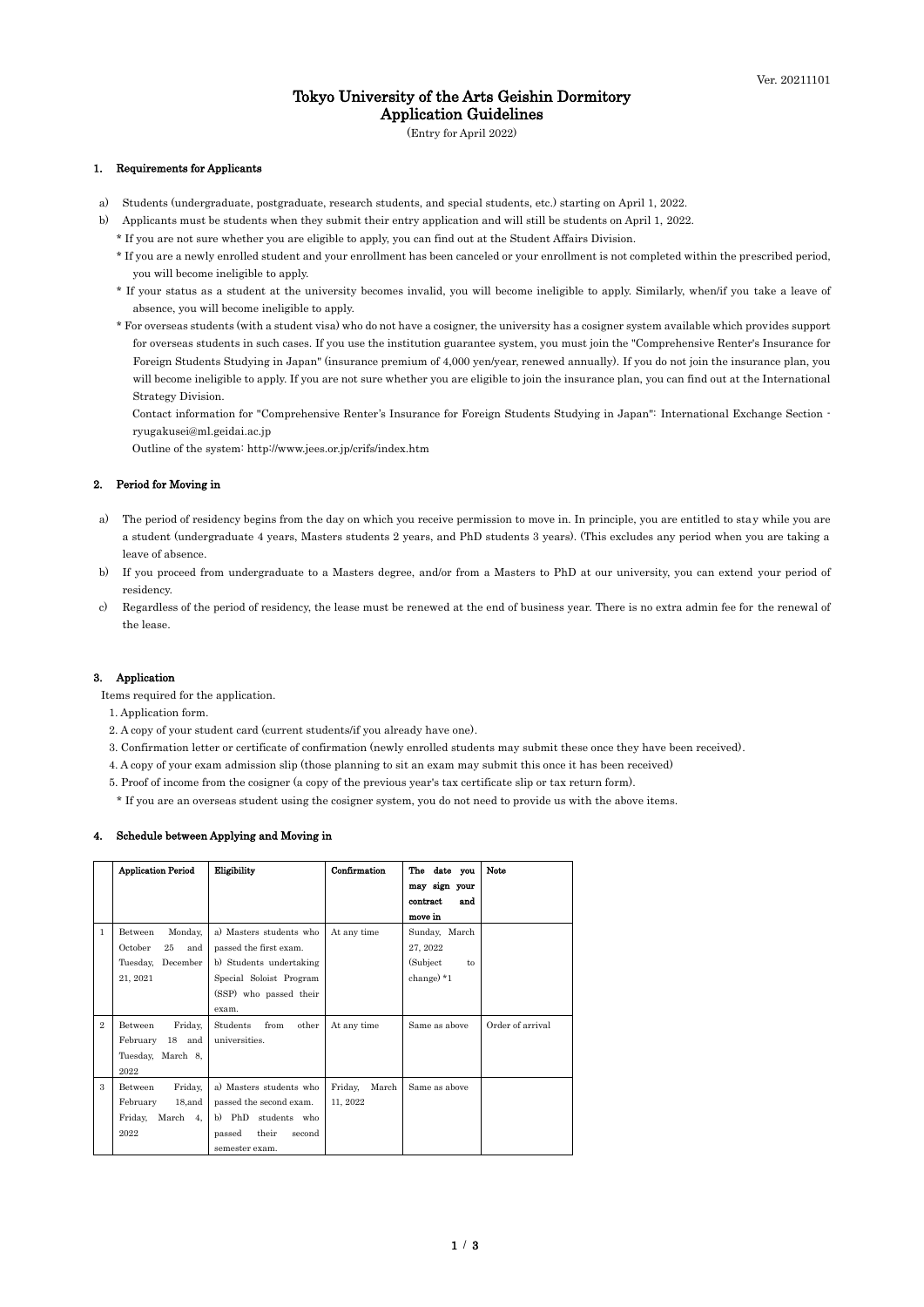1 / 3

# Tokyo University of the Arts Geishin Dormitory Application Guidelines

(Entry for April 2022)

#### 1. Requirements for Applicants

- a) Students (undergraduate, postgraduate, research students, and special students, etc.) starting on April 1, 2022.
- b) Applicants must be students when they submit their entry application and will still be students on April 1, 2022.
	- \* If you are not sure whether you are eligible to apply, you can find out at the Student Affairs Division.
	- \* If you are a newly enrolled student and your enrollment has been canceled or your enrollment is not completed within the prescribed period, you will become ineligible to apply.
	- \* If your status as a student at the university becomes invalid, you will become ineligible to apply. Similarly, when/if you take a leave of absence, you will become ineligible to apply.
	- \* For overseas students (with a student visa) who do not have a cosigner, the university has a cosigner system available which provides support for overseas students in such cases. If you use the institution guarantee system, you must join the "Comprehensive Renter's Insurance for Foreign Students Studying in Japan" (insurance premium of 4,000 yen/year, renewed annually). If you do not join the insurance plan, you will become ineligible to apply. If you are not sure whether you are eligible to join the insurance plan, you can find out at the International Strategy Division.

Contact information for "Comprehensive Renter's Insurance for Foreign Students Studying in Japan": International Exchange Section ryugakusei@ml.geidai.ac.jp

Outline of the system: http://www.jees.or.jp/crifs/index.htm

#### 2. Period for Moving in

- a) The period of residency begins from the day on which you receive permission to move in. In principle, you are entitled to stay while you are a student (undergraduate 4 years, Masters students 2 years, and PhD students 3 years). (This excludes any period when you are taking a leave of absence.
- b) If you proceed from undergraduate to a Masters degree, and/or from a Masters to PhD at our university, you can extend your period of residency.
- c) Regardless of the period of residency, the lease must be renewed at the end of business year. There is no extra admin fee for the renewal of the lease.

#### 3. Application

Items required for the application.

1. Application form.

- 2. A copy of your student card (current students/if you already have one).
- 3. Confirmation letter or certificate of confirmation (newly enrolled students may submit these once they have been received).
- 4. A copy of your exam admission slip (those planning to sit an exam may submit this once it has been received)
- 5. Proof of income from the cosigner (a copy of the previous year's tax certificate slip or tax return form).
- \* If you are an overseas student using the cosigner system, you do not need to provide us with the above items.

#### 4. Schedule between Applying and Moving in

|                | <b>Application Period</b> | Eligibility               | Confirmation     | The date you    | <b>Note</b>      |
|----------------|---------------------------|---------------------------|------------------|-----------------|------------------|
|                |                           |                           |                  | may sign your   |                  |
|                |                           |                           |                  | contract<br>and |                  |
|                |                           |                           |                  | move in         |                  |
| $\mathbf{1}$   | Monday,<br>Between        | a) Masters students who   | At any time      | Sunday, March   |                  |
|                | October<br>25<br>and      | passed the first exam.    |                  | 27, 2022        |                  |
|                | December<br>Tuesday,      | b) Students undertaking   |                  | (Subject)<br>to |                  |
|                | 21, 2021                  | Special Soloist Program   |                  | change $*1$     |                  |
|                |                           | (SSP) who passed their    |                  |                 |                  |
|                |                           | exam.                     |                  |                 |                  |
| $\overline{2}$ | Friday,<br>Between        | from<br>Students<br>other | At any time      | Same as above   | Order of arrival |
|                | February<br>18 and        | universities.             |                  |                 |                  |
|                | Tuesday, March 8,         |                           |                  |                 |                  |
|                | 2022                      |                           |                  |                 |                  |
| 3              | Between<br>Friday,        | a) Masters students who   | Friday,<br>March | Same as above   |                  |
|                | February<br>$18$ , and    | passed the second exam.   | 11, 2022         |                 |                  |
|                | Friday,<br>March 4,       | b) PhD students who       |                  |                 |                  |
|                | 2022                      | their<br>passed<br>second |                  |                 |                  |
|                |                           | semester exam.            |                  |                 |                  |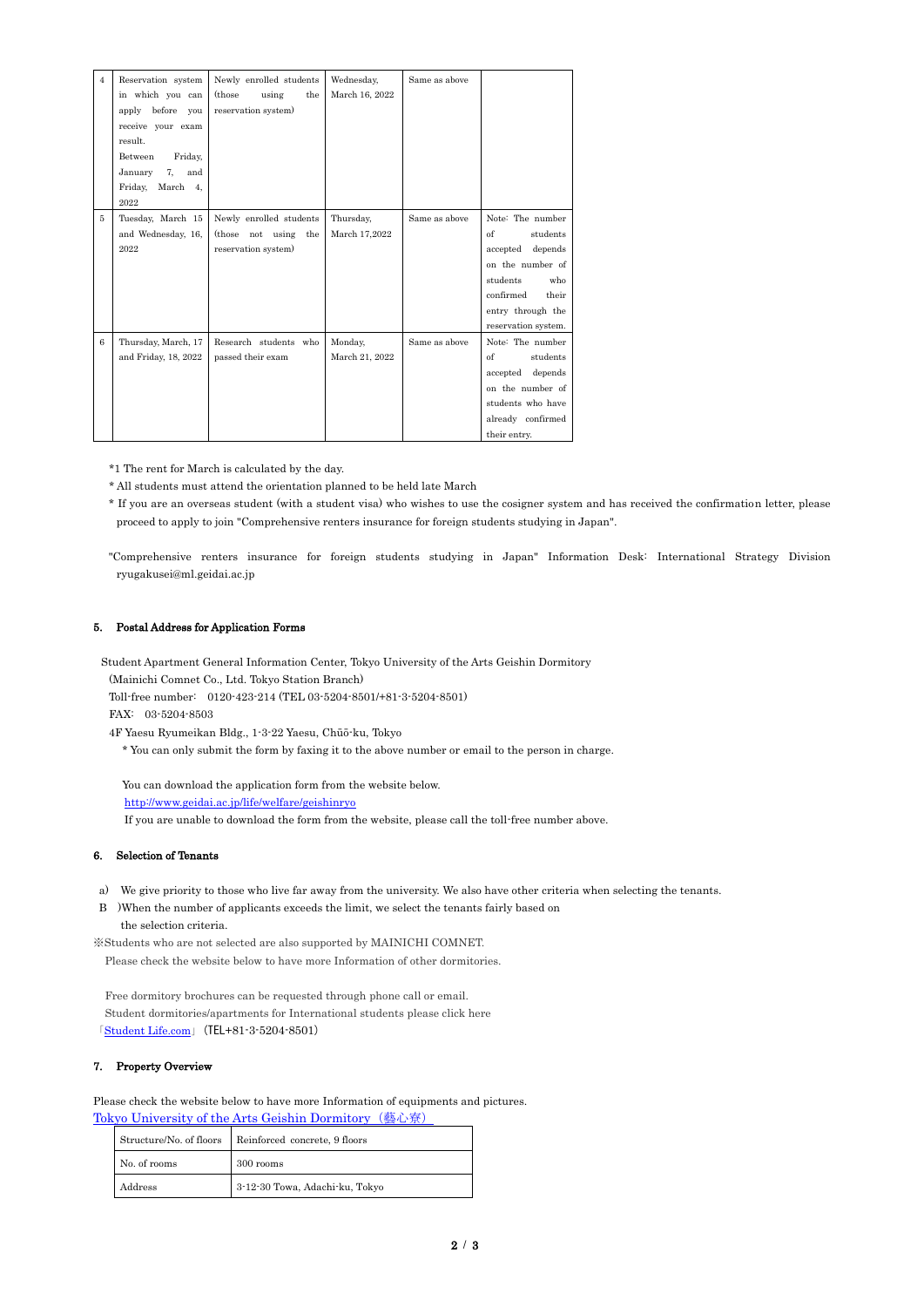2 / 3

| $\overline{4}$ | Reservation system     | Newly enrolled students     | Wednesday,     | Same as above |                     |
|----------------|------------------------|-----------------------------|----------------|---------------|---------------------|
|                | in which you can       | (those)<br>using<br>the     | March 16, 2022 |               |                     |
|                | before<br>apply<br>you | reservation system)         |                |               |                     |
|                | receive your exam      |                             |                |               |                     |
|                | result.                |                             |                |               |                     |
|                | Between<br>Friday,     |                             |                |               |                     |
|                | January<br>7,<br>and   |                             |                |               |                     |
|                | Friday,<br>March<br>4, |                             |                |               |                     |
|                | 2022                   |                             |                |               |                     |
| 5              | Tuesday, March 15      | Newly enrolled students     | Thursday,      | Same as above | Note: The number    |
|                | and Wednesday, 16,     | not using<br>(those)<br>the | March 17,2022  |               | of<br>students      |
|                | 2022                   | reservation system)         |                |               | depends<br>accepted |
|                |                        |                             |                |               | on the number of    |
|                |                        |                             |                |               | students<br>who     |
|                |                        |                             |                |               | confirmed<br>their  |
|                |                        |                             |                |               | entry through the   |
|                |                        |                             |                |               | reservation system. |
| 6              | Thursday, March, 17    | Research students who       | Monday,        | Same as above | Note: The number    |
|                | and Friday, 18, 2022   | passed their exam           | March 21, 2022 |               | of<br>students      |
|                |                        |                             |                |               | accepted depends    |
|                |                        |                             |                |               | on the number of    |
|                |                        |                             |                |               | students who have   |
|                |                        |                             |                |               | already confirmed   |
|                |                        |                             |                |               | their entry.        |

\*1 The rent for March is calculated by the day.

\* All students must attend the orientation planned to be held late March

\* If you are an overseas student (with a student visa) who wishes to use the cosigner system and has received the confirmation letter, please proceed to apply to join "Comprehensive renters insurance for foreign students studying in Japan".

"Comprehensive renters insurance for foreign students studying in Japan" Information Desk: International Strategy Division ryugakusei@ml.geidai.ac.jp

### 5. Postal Address for Application Forms

Student Apartment General Information Center, Tokyo University of the Arts Geishin Dormitory

(Mainichi Comnet Co., Ltd. Tokyo Station Branch)

Toll-free number: 0120-423-214 (TEL 03-5204-8501/+81-3-5204-8501)

FAX: 03-5204-8503

4F Yaesu Ryumeikan Bldg., 1-3-22 Yaesu, Chūō-ku, Tokyo

\* You can only submit the form by faxing it to the above number or email to the person in charge.

You can download the application form from the website below.

<http://www.geidai.ac.jp/life/welfare/geishinryo>

If you are unable to download the form from the website, please call the toll-free number above.

#### 6. Selection of Tenants

- a) We give priority to those who live far away from the university. We also have other criteria when selecting the tenants.
- B )When the number of applicants exceeds the limit, we select the tenants fairly based on the selection criteria.

※Students who are not selected are also supported by MAINICHI COMNET.

Please check the website below to have more Information of other dormitories.

Free dormitory brochures can be requested through phone call or email. Student dormitories/apartments for International students please click here 「[Student Life.com](http://www.hitorigurashi.com.e.acj.hp.transer.com/search/%E6%9D%B1%E4%BA%AC%E8%97%9D%E8%A1%93/#school_result)」(TEL+81-3-5204-8501)

## 7. Property Overview

Please check the website below to have more Information of equipments and pictures.

[Tokyo University of the Arts Geishin Dormitory](http://www.gakuman-tokyo.com/tokyo/estate/2301005419) (藝心寮)

|              | Structure/No. of floors   Reinforced concrete, 9 floors |  |  |
|--------------|---------------------------------------------------------|--|--|
| No. of rooms | 300 rooms                                               |  |  |
| Address      | 3-12-30 Towa, Adachi-ku, Tokyo                          |  |  |